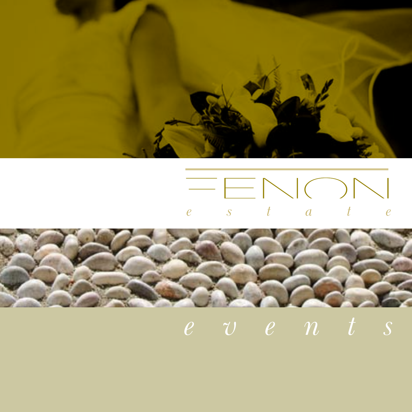

## **FENON**  $\overline{S}$  $t \qquad a$  $\ell$  $\ell$



## $e$  v  $e$   $n$  t s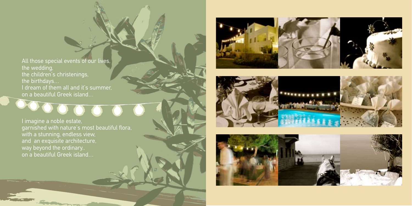All those special events of our lives, the wedding, the children's christenings, the birthdays… I dream of them all and it's summer,

DO





I imagine a noble estate, garnished with nature's most beautiful flora, and an exquisite architecture, way beyond the ordinary.. on a beautiful Greek island…

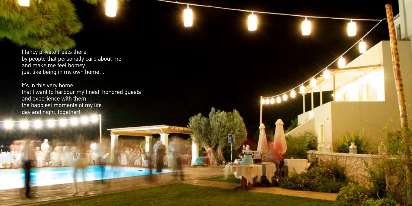I fancy private treats there, by people that personally care about me, and make me feel homey just like being in my own home…

It's in this very home that I want to harbour my finest, honored guests and experience with them the happiest moments of my life, day and night, together!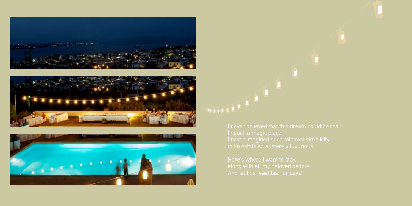